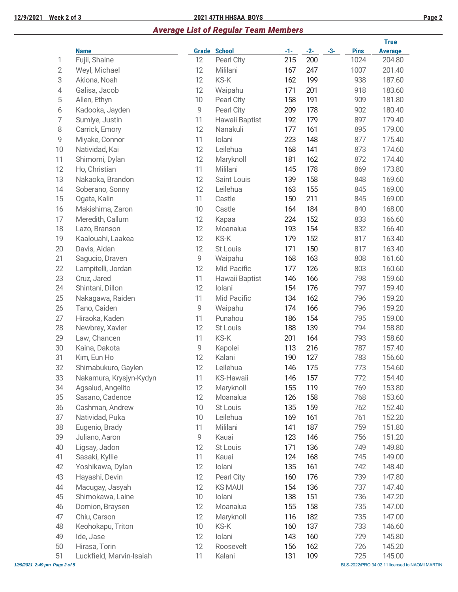### **12/9/2021 Week 2 of 3 2021 47TH HHSAA BOYS Page 2**

## *Average List of Regular Team Members*

|                |                          |       |                  |       |       |       |             | <b>True</b>    |
|----------------|--------------------------|-------|------------------|-------|-------|-------|-------------|----------------|
|                | <b>Name</b>              | Grade | <b>School</b>    | $-1-$ | $-2-$ | $-3-$ | <b>Pins</b> | <b>Average</b> |
| 1              | Fujii, Shaine            | 12    | Pearl City       | 215   | 200   |       | 1024        | 204.80         |
| $\sqrt{2}$     | Weyl, Michael            | 12    | Mililani         | 167   | 247   |       | 1007        | 201.40         |
| 3              | Akiona, Noah             | 12    | KS-K             | 162   | 199   |       | 938         | 187.60         |
| $\sqrt{4}$     | Galisa, Jacob            | 12    | Waipahu          | 171   | 201   |       | 918         | 183.60         |
| 5              | Allen, Ethyn             | 10    | Pearl City       | 158   | 191   |       | 909         | 181.80         |
| 6              | Kadooka, Jayden          | 9     | Pearl City       | 209   | 178   |       | 902         | 180.40         |
| $\overline{7}$ | Sumiye, Justin           | 11    | Hawaii Baptist   | 192   | 179   |       | 897         | 179.40         |
| $\,8\,$        | Carrick, Emory           | 12    | Nanakuli         | 177   | 161   |       | 895         | 179.00         |
| $\mathsf 9$    | Miyake, Connor           | 11    | Iolani           | 223   | 148   |       | 877         | 175.40         |
| 10             | Natividad, Kai           | 12    | Leilehua         | 168   | 141   |       | 873         | 174.60         |
| 11             | Shimomi, Dylan           | 12    | Maryknoll        | 181   | 162   |       | 872         | 174.40         |
| 12             | Ho, Christian            | 11    | Mililani         | 145   | 178   |       | 869         | 173.80         |
| 13             | Nakaoka, Brandon         | 12    | Saint Louis      | 139   | 158   |       | 848         | 169.60         |
| 14             | Soberano, Sonny          | 12    | Leilehua         | 163   | 155   |       | 845         | 169.00         |
| 15             | Ogata, Kalin             | 11    | Castle           | 150   | 211   |       | 845         | 169.00         |
| 16             | Makishima, Zaron         | 10    | Castle           | 164   | 184   |       | 840         | 168.00         |
| 17             | Meredith, Callum         | 12    | Kapaa            | 224   | 152   |       | 833         | 166.60         |
| 18             | Lazo, Branson            | 12    | Moanalua         | 193   | 154   |       | 832         | 166.40         |
| 19             | Kaalouahi, Laakea        | 12    | KS-K             | 179   | 152   |       | 817         | 163.40         |
| 20             | Davis, Aidan             | 12    | St Louis         | 171   | 150   |       | 817         | 163.40         |
| 21             | Sagucio, Draven          | 9     | Waipahu          | 168   | 163   |       | 808         | 161.60         |
| 22             | Lampitelli, Jordan       | 12    | Mid Pacific      | 177   | 126   |       | 803         | 160.60         |
| 23             | Cruz, Jared              | 11    | Hawaii Baptist   | 146   | 166   |       | 798         | 159.60         |
| 24             | Shintani, Dillon         | 12    | Iolani           | 154   | 176   |       | 797         | 159.40         |
| 25             | Nakagawa, Raiden         | 11    | Mid Pacific      | 134   | 162   |       | 796         | 159.20         |
| 26             | Tano, Caiden             | 9     | Waipahu          | 174   | 166   |       | 796         | 159.20         |
| 27             | Hiraoka, Kaden           | 11    | Punahou          | 186   | 154   |       | 795         | 159.00         |
| 28             | Newbrey, Xavier          | 12    | St Louis         | 188   | 139   |       | 794         | 158.80         |
| 29             | Law, Chancen             | 11    | KS-K             | 201   | 164   |       | 793         | 158.60         |
| 30             | Kaina, Dakota            | 9     | Kapolei          | 113   | 216   |       | 787         | 157.40         |
| 31             | Kim, Eun Ho              | 12    | Kalani           | 190   | 127   |       | 783         | 156.60         |
| 32             | Shimabukuro, Gaylen      | 12    | Leilehua         | 146   | 175   |       | 773         | 154.60         |
| 33             | Nakamura, Krysjyn-Kydyn  | 11    | <b>KS-Hawaii</b> | 146   | 157   |       | 772         | 154.40         |
| 34             | Agsalud, Angelito        | 12    | Maryknoll        | 155   | 119   |       | 769         | 153.80         |
| 35             | Sasano, Cadence          | 12    | Moanalua         | 126   | 158   |       | 768         | 153.60         |
| 36             | Cashman, Andrew          | 10    | St Louis         | 135   | 159   |       | 762         | 152.40         |
| 37             | Natividad, Puka          | 10    | Leilehua         | 169   | 161   |       | 761         | 152.20         |
| 38             | Eugenio, Brady           | 11    | Mililani         | 141   | 187   |       | 759         | 151.80         |
| 39             | Juliano, Aaron           | 9     | Kauai            | 123   | 146   |       | 756         | 151.20         |
| 40             | Ligsay, Jadon            | 12    | St Louis         | 171   | 136   |       | 749         | 149.80         |
| 41             | Sasaki, Kyllie           | 11    | Kauai            | 124   | 168   |       | 745         | 149.00         |
| 42             | Yoshikawa, Dylan         | 12    | Iolani           | 135   | 161   |       | 742         | 148.40         |
| 43             | Hayashi, Devin           | 12    | Pearl City       | 160   | 176   |       | 739         | 147.80         |
| 44             | Macugay, Jasyah          | 12    | <b>KS MAUI</b>   | 154   | 136   |       | 737         | 147.40         |
| 45             | Shimokawa, Laine         | 10    | Iolani           | 138   | 151   |       | 736         | 147.20         |
| 46             | Domion, Braysen          | 12    | Moanalua         | 155   | 158   |       | 735         | 147.00         |
| 47             | Chiu, Carson             | 12    | Maryknoll        | 116   | 182   |       | 735         | 147.00         |
| 48             | Keohokapu, Triton        | 10    | KS-K             | 160   | 137   |       | 733         | 146.60         |
| 49             | Ide, Jase                | 12    | Iolani           | 143   | 160   |       | 729         | 145.80         |
| 50             | Hirasa, Torin            | 12    | Roosevelt        | 156   | 162   |       | 726         | 145.20         |
| 51             | Luckfield, Marvin-Isaiah | 11    | Kalani           | 131   | 109   |       | 725         | 145.00         |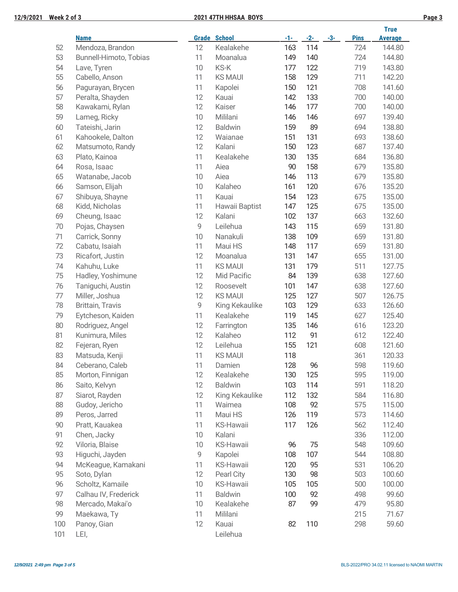### **12/9/2021 Week 2 of 3 2021 47TH HHSAA BOYS Page 3**

|        |                        |    |                     |       |       |       |             | <b>True</b>    |
|--------|------------------------|----|---------------------|-------|-------|-------|-------------|----------------|
|        | <b>Name</b>            |    | <b>Grade School</b> | $-1-$ | $-2-$ | $-3-$ | <b>Pins</b> | <b>Average</b> |
| 52     | Mendoza, Brandon       | 12 | Kealakehe           | 163   | 114   |       | 724         | 144.80         |
| 53     | Bunnell-Himoto, Tobias | 11 | Moanalua            | 149   | 140   |       | 724         | 144.80         |
| 54     | Lave, Tyren            | 10 | KS-K                | 177   | 122   |       | 719         | 143.80         |
| 55     | Cabello, Anson         | 11 | <b>KS MAUI</b>      | 158   | 129   |       | 711         | 142.20         |
| 56     | Pagurayan, Brycen      | 11 | Kapolei             | 150   | 121   |       | 708         | 141.60         |
| 57     | Peralta, Shayden       | 12 | Kauai               | 142   | 133   |       | 700         | 140.00         |
| 58     | Kawakami, Rylan        | 12 | Kaiser              | 146   | 177   |       | 700         | 140.00         |
| 59     | Lameg, Ricky           | 10 | Mililani            | 146   | 146   |       | 697         | 139.40         |
| 60     | Tateishi, Jarin        | 12 | <b>Baldwin</b>      | 159   | 89    |       | 694         | 138.80         |
| 61     | Kahookele, Dalton      | 12 | Waianae             | 151   | 131   |       | 693         | 138.60         |
| 62     | Matsumoto, Randy       | 12 | Kalani              | 150   | 123   |       | 687         | 137.40         |
| 63     | Plato, Kainoa          | 11 | Kealakehe           | 130   | 135   |       | 684         | 136.80         |
| 64     | Rosa, Isaac            | 11 | Aiea                | 90    | 158   |       | 679         | 135.80         |
| 65     | Watanabe, Jacob        | 10 | Aiea                | 146   | 113   |       | 679         | 135.80         |
| 66     | Samson, Elijah         | 10 | Kalaheo             | 161   | 120   |       | 676         | 135.20         |
| 67     | Shibuya, Shayne        | 11 | Kauai               | 154   | 123   |       | 675         | 135.00         |
| 68     | Kidd, Nicholas         | 11 | Hawaii Baptist      | 147   | 125   |       | 675         | 135.00         |
| 69     | Cheung, Isaac          | 12 | Kalani              | 102   | 137   |       | 663         | 132.60         |
| 70     | Pojas, Chaysen         | 9  | Leilehua            | 143   | 115   |       | 659         | 131.80         |
| 71     | Carrick, Sonny         | 10 | Nanakuli            | 138   | 109   |       | 659         | 131.80         |
| 72     | Cabatu, Isaiah         | 11 | Maui HS             | 148   | 117   |       | 659         | 131.80         |
| 73     | Ricafort, Justin       | 12 | Moanalua            | 131   | 147   |       | 655         | 131.00         |
| 74     | Kahuhu, Luke           | 11 | <b>KS MAUI</b>      | 131   | 179   |       | 511         | 127.75         |
| 75     | Hadley, Yoshimune      | 12 | Mid Pacific         | 84    | 139   |       | 638         | 127.60         |
| 76     | Taniguchi, Austin      | 12 | Roosevelt           | 101   | 147   |       | 638         | 127.60         |
| $77\,$ | Miller, Joshua         | 12 | <b>KS MAUI</b>      | 125   | 127   |       | 507         | 126.75         |
| 78     | Brittain, Travis       | 9  | King Kekaulike      | 103   | 129   |       | 633         | 126.60         |
| 79     | Eytcheson, Kaiden      | 11 | Kealakehe           | 119   | 145   |       | 627         | 125.40         |
| 80     | Rodriguez, Angel       | 12 | Farrington          | 135   | 146   |       | 616         | 123.20         |
| 81     | Kunimura, Miles        | 12 | Kalaheo             | 112   | 91    |       | 612         | 122.40         |
| 82     | Fejeran, Ryen          | 12 | Leilehua            | 155   | 121   |       | 608         | 121.60         |
| 83     | Matsuda, Kenji         | 11 | <b>KS MAUI</b>      | 118   |       |       | 361         | 120.33         |
| 84     | Ceberano, Caleb        | 11 | Damien              | 128   | 96    |       | 598         | 119.60         |
| 85     | Morton, Finnigan       | 12 | Kealakehe           | 130   | 125   |       | 595         | 119.00         |
| 86     | Saito, Kelvyn          | 12 | <b>Baldwin</b>      | 103   | 114   |       | 591         | 118.20         |
| 87     | Siarot, Rayden         | 12 | King Kekaulike      | 112   | 132   |       | 584         | 116.80         |
| 88     | Gudoy, Jericho         | 11 | Waimea              | 108   | 92    |       | 575         | 115.00         |
| 89     | Peros, Jarred          | 11 | Maui HS             | 126   | 119   |       | 573         | 114.60         |
| 90     | Pratt, Kauakea         | 11 | <b>KS-Hawaii</b>    | 117   | 126   |       | 562         | 112.40         |
| 91     | Chen, Jacky            | 10 | Kalani              |       |       |       | 336         | 112.00         |
| 92     | Viloria, Blaise        | 10 | KS-Hawaii           | 96    | 75    |       | 548         | 109.60         |
| 93     | Higuchi, Jayden        | 9  | Kapolei             | 108   | 107   |       | 544         | 108.80         |
| 94     | McKeague, Kamakani     | 11 | <b>KS-Hawaii</b>    | 120   | 95    |       | 531         | 106.20         |
| 95     | Soto, Dylan            | 12 | Pearl City          | 130   | 98    |       | 503         | 100.60         |
| 96     | Scholtz, Kamaile       | 10 | <b>KS-Hawaii</b>    | 105   | 105   |       | 500         | 100.00         |
| 97     | Calhau IV, Frederick   | 11 | <b>Baldwin</b>      | 100   | 92    |       | 498         | 99.60          |
| 98     | Mercado, Makai'o       | 10 | Kealakehe           | 87    | 99    |       | 479         | 95.80          |
| 99     | Maekawa, Ty            | 11 | Mililani            |       |       |       | 215         | 71.67          |
| 100    | Panoy, Gian            | 12 | Kauai               | 82    | 110   |       | 298         | 59.60          |
| 101    | LEI,                   |    | Leilehua            |       |       |       |             |                |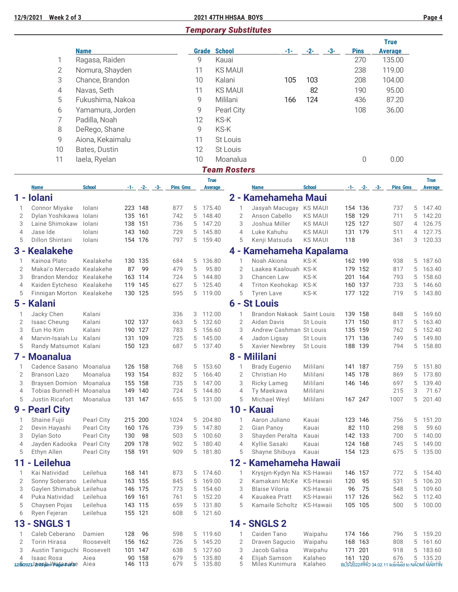# *Temporary Substitutes*

|                     |                                                   |                  |                    |                    |                 |        |                               |                     |                                      |                      |     |     |                    | <b>True</b>                                    |        |                               |
|---------------------|---------------------------------------------------|------------------|--------------------|--------------------|-----------------|--------|-------------------------------|---------------------|--------------------------------------|----------------------|-----|-----|--------------------|------------------------------------------------|--------|-------------------------------|
|                     |                                                   | <b>Name</b>      |                    |                    |                 |        | <b>Grade School</b>           |                     | -1-                                  | $-2-$                | -3- |     | <b>Pins</b>        | <b>Average</b>                                 |        |                               |
|                     | 1                                                 | Ragasa, Raiden   |                    |                    |                 |        | 9                             | Kauai               |                                      |                      |     |     | 270                | 135.00                                         |        |                               |
|                     | $\overline{2}$                                    | Nomura, Shayden  |                    |                    |                 | 11     |                               | <b>KS MAUI</b>      |                                      |                      |     |     | 238                | 119.00                                         |        |                               |
|                     | 3                                                 | Chance, Brandon  |                    |                    |                 | 10     |                               | Kalani              | 105                                  | 103                  |     |     | 208                | 104.00                                         |        |                               |
|                     | 4                                                 | Navas, Seth      |                    |                    |                 | 11     |                               | <b>KS MAUI</b>      |                                      | 82                   |     |     | 190                | 95.00                                          |        |                               |
|                     | 5                                                 | Fukushima, Nakoa |                    |                    |                 |        | 9                             | Mililani            | 166                                  | 124                  |     |     | 436                | 87.20                                          |        |                               |
|                     | 6                                                 | Yamamura, Jorden |                    |                    |                 |        | 9                             | Pearl City          |                                      |                      |     |     | 108                | 36.00                                          |        |                               |
|                     | 7                                                 | Padilla, Noah    |                    |                    |                 |        | 12                            | KS-K                |                                      |                      |     |     |                    |                                                |        |                               |
|                     | 8                                                 | DeRego, Shane    |                    |                    |                 |        | 9                             | KS-K                |                                      |                      |     |     |                    |                                                |        |                               |
|                     |                                                   |                  |                    |                    |                 |        |                               |                     |                                      |                      |     |     |                    |                                                |        |                               |
|                     | 9                                                 | Aiona, Kekaimalu |                    |                    |                 | 11     |                               | St Louis            |                                      |                      |     |     |                    |                                                |        |                               |
|                     | 10                                                | Bates, Dustin    |                    |                    |                 |        | 12                            | St Louis            |                                      |                      |     |     |                    |                                                |        |                               |
|                     | 11                                                | laela, Ryelan    |                    |                    |                 |        | 10                            | Moanalua            |                                      |                      |     |     | 0                  | 0.00                                           |        |                               |
|                     |                                                   |                  |                    |                    |                 |        |                               | <b>Team Rosters</b> |                                      |                      |     |     |                    |                                                |        |                               |
|                     | <b>Name</b>                                       | <b>School</b>    |                    | $-1 - (-2 - (-3 -$ | <b>Pins Gms</b> |        | <b>True</b><br><b>Average</b> |                     | <b>Name</b>                          | <b>School</b>        |     |     | $-1 - (-2 - (-3 -$ | <b>Pins Gms</b>                                |        | <b>True</b><br><b>Average</b> |
| 1 -                 | <b>lolani</b>                                     |                  |                    |                    |                 |        |                               |                     | 2 - Kamehameha Maui                  |                      |     |     |                    |                                                |        |                               |
| 1                   | Connor Miyake                                     | Iolani           |                    | 223 148            | 877             | 5      | 175.40                        | 1                   | Jasyah Macugay                       | <b>KS MAUI</b>       |     |     | 154 136            | 737                                            | 5      | 147.40                        |
| $\overline{2}$      | Dylan Yoshikawa lolani                            |                  | 135 161            |                    | 742             | 5      | 148.40                        | $\overline{2}$      | Anson Cabello                        | <b>KS MAUI</b>       |     |     | 158 129            | 711                                            | 5      | 142.20                        |
| 3                   | Laine Shimokaw                                    | lolani           | 138 151            |                    | 736             | 5      | 147.20                        | 3                   | Joshua Miller                        | <b>KS MAUI</b>       |     |     | 125 127            | 507                                            | 4      | 126.75                        |
| $\overline{4}$      | Jase Ide                                          | lolani           |                    | 143 160            | 729             | 5      | 145.80                        | $\overline{4}$      | Luke Kahuhu                          | <b>KS MAUI</b>       |     |     | 131 179            | 511                                            | 4      | 127.75                        |
| 5                   | Dillon Shintani                                   | Iolani           |                    | 154 176            | 797             | 5      | 159.40                        | 5                   | Kenji Matsuda                        | <b>KS MAUI</b>       |     | 118 |                    | 361                                            | 3      | 120.33                        |
|                     | 3 - Kealakehe                                     |                  |                    |                    |                 |        |                               |                     | 4 - Kamehameha Kapalama              |                      |     |     |                    |                                                |        |                               |
| 1                   | Kainoa Plato                                      | Kealakehe        |                    | 130 135            | 684             | 5      | 136.80                        | $\mathbf{1}$        | Noah Akiona                          | KS-K                 |     |     | 162 199            | 938                                            |        | 5 187.60                      |
| $\overline{2}$      | Makai'o Mercado Kealakehe                         |                  | 87                 | 99                 | 479             | 5      | 95.80                         | 2                   | Laakea Kaalouah KS-K                 |                      |     |     | 179 152            | 817                                            | 5      | 163.40                        |
| 3                   | Brandon Mendoz Kealakehe                          |                  |                    | 163 114            | 724             | 5      | 144.80                        | 3                   | Chancen Law                          | KS-K                 |     |     | 201 164            | 793                                            | 5      | 158.60                        |
| $\overline{4}$      | Kaiden Eytcheso Kealakehe                         |                  | 119 145            |                    | 627             | 5      | 125.40                        | $\overline{4}$      | Triton Keohokap                      | KS-K                 |     |     | 160 137            | 733                                            | 5      | 146.60                        |
| 5                   | Finnigan Morton Kealakehe                         |                  |                    | 130 125            | 595             | 5      | 119.00                        | 5                   | <b>Tyren Lave</b>                    | KS-K                 |     |     | 177 122            | 719                                            | 5      | 143.80                        |
|                     | 5 - Kalani                                        |                  |                    |                    |                 |        |                               |                     | <b>6 - St Louis</b>                  |                      |     |     |                    |                                                |        |                               |
| 1                   | Jacky Chen                                        | Kalani           |                    |                    | 336             | 3      | 112.00                        | 1                   | <b>Brandon Nakaok</b>                | Saint Louis          |     |     | 139 158            | 848                                            | 5      | 169.60                        |
| $\overline{2}$      | Isaac Cheung                                      | Kalani           |                    | 102 137            | 663             | 5      | 132.60                        | $\overline{2}$      | Aidan Davis                          | St Louis             |     |     | 171 150            | 817                                            | 5      | 163.40                        |
| 3                   | Eun Ho Kim                                        | Kalani           |                    | 190 127            | 783             | 5      | 156.60                        | 3                   | Andrew Cashman St Louis              |                      |     |     | 135 159            | 762                                            | 5      | 152.40                        |
| $\overline{4}$      | Marvin-Isaiah Lu Kalani                           |                  | 131 109            | 150 123            | 725<br>687      | 5      | 145.00<br>5 137.40            | $\overline{4}$      | Jadon Ligsay                         | St Louis             |     |     | 171 136<br>188 139 | 749<br>794                                     | 5      | 149.80<br>5 158.80            |
| 5                   | Randy Matsumot Kalani                             |                  |                    |                    |                 |        |                               | 5                   | Xavier Newbrey<br>8 - Mililani       | St Louis             |     |     |                    |                                                |        |                               |
| 7 -                 | <b>Moanalua</b>                                   |                  |                    |                    |                 |        |                               |                     |                                      |                      |     |     |                    |                                                |        |                               |
|                     | Cadence Sasano Moanalua<br>Branson Lazo Moanalua  |                  |                    | 126 158            | 768             |        | 5 153.60<br>5 166.40          | $\overline{2}$      | <b>Brady Eugenio</b><br>Christian Ho | Mililani             |     |     | 141 187            | 759                                            |        | 5 151.80                      |
| 3                   | Braysen Domion Moanalua                           |                  | 193 154<br>155 158 |                    | 832<br>735      | 5      | 147.00                        | 3                   | Ricky Lameg                          | Mililani<br>Mililani |     |     | 145 178<br>146 146 | 869<br>697                                     | 5      | 5 173.80<br>139.40            |
| $\overline{4}$      | Tobias Bunnell-H Moanalua                         |                  |                    | 149 140            | 724             | 5      | 144.80                        | 4                   | Ty Maekawa                           | Mililani             |     |     |                    | 215                                            | 3      | 71.67                         |
| 5                   | <b>Justin Ricafort</b>                            | Moanalua         |                    | 131 147            | 655             |        | 5 131.00                      | 5                   | Michael Weyl                         | Mililani             |     |     | 167 247            | 1007                                           | 5      | 201.40                        |
| 9 -                 | <b>Pearl City</b>                                 |                  |                    |                    |                 |        |                               |                     | 10 - Kauai                           |                      |     |     |                    |                                                |        |                               |
| 1                   | Shaine Fujii                                      | Pearl City       |                    | 215 200            | 1024            | 5      | 204.80                        | $\mathbf{1}$        | Aaron Juliano                        | Kauai                |     |     | 123 146            | 756                                            | 5      | 151.20                        |
| $\overline{2}$      | Devin Hayashi                                     | Pearl City       | 160 176            |                    | 739             | 5      | 147.80                        | $\overline{2}$      | Gian Panoy                           | Kauai                |     |     | 82 110             | 298                                            | 5      | 59.60                         |
| 3                   | Dylan Soto                                        | Pearl City       | 130                | 98                 | 503             | 5      | 100.60                        | 3                   | Shayden Peralta                      | Kauai                |     |     | 142 133            | 700                                            | 5      | 140.00                        |
| 4                   | Jayden Kadooka                                    | Pearl City       | 209 178            |                    | 902             | 5      | 180.40                        | $\overline{4}$      | Kyllie Sasaki                        | Kauai                |     |     | 124 168            | 745                                            | 5      | 149.00                        |
| 5                   | Ethyn Allen                                       | Pearl City       | 158 191            |                    | 909             | 5      | 181.80                        | 5                   | Shayne Shibuya                       | Kauai                |     |     | 154 123            | 675                                            | 5      | 135.00                        |
| 11                  | - Leilehua                                        |                  |                    |                    |                 |        |                               | $12 -$              | <b>Kamehameha Hawaii</b>             |                      |     |     |                    |                                                |        |                               |
| $\mathbf{1}$        | Kai Natividad                                     | Leilehua         | 168 141            |                    | 873             | 5      | 174.60                        | 1                   | Krysjyn-Kydyn Na KS-Hawaii           |                      |     |     | 146 157            | 772                                            | 5      | 154.40                        |
| $\overline{2}$      | Sonny Soberano                                    | Leilehua         |                    | 163 155            | 845             | 5      | 169.00                        | $\overline{2}$      | Kamakani McKe KS-Hawaii              |                      |     | 120 | 95                 | 531                                            | 5      | 106.20                        |
| 3                   | Gaylen Shimabuk Leilehua                          |                  |                    | 146 175            | 773             | 5      | 154.60                        | 3                   | <b>Blaise Viloria</b>                | KS-Hawaii            |     | 96  | 75                 | 548                                            | 5      | 109.60                        |
| $\overline{4}$      | Puka Natividad                                    | Leilehua         | 169 161            |                    | 761             | 5      | 152.20                        | $\overline{4}$      | Kauakea Pratt                        | KS-Hawaii            |     |     | 117 126            | 562                                            | 5      | 112.40                        |
| 5                   | Chaysen Pojas                                     | Leilehua         |                    | 143 115            | 659             | 5      | 131.80                        | 5                   | Kamaile Scholtz                      | KS-Hawaii            |     |     | 105 105            | 500                                            | 5      | 100.00                        |
| 6                   | Ryen Fejeran                                      | Leilehua         | 155 121            |                    | 608             | 5      | 121.60                        |                     |                                      |                      |     |     |                    |                                                |        |                               |
| 13                  | <b>SNGLS1</b>                                     |                  |                    |                    |                 |        |                               |                     | <b>14 - SNGLS 2</b>                  |                      |     |     |                    |                                                |        |                               |
| 1                   | Caleb Ceberano                                    | Damien           | 128                | 96                 | 598             | 5      | 119.60                        | 1                   | Caiden Tano                          | Waipahu              |     |     | 174 166            | 796                                            | 5      | 159.20                        |
| $\overline{2}$<br>3 | <b>Torin Hirasa</b><br>Austin Taniguchi Roosevelt | Roosevelt        |                    | 156 162<br>101 147 | 726<br>638      | 5<br>5 | 145.20<br>127.60              | $\overline{2}$<br>3 | Draven Sagucio<br>Jacob Galisa       | Waipahu<br>Waipahu   |     |     | 168 163<br>171 201 | 808<br>918                                     | 5<br>5 | 161.60<br>183.60              |
| 4                   | Isaac Rosa                                        | Aiea             |                    | 90 158             | 679             | 5      | 135.80                        | 4                   | Elijah Samson                        | Kalaheo              |     |     | 161 120            | 676                                            | 5      | 135.20                        |
|                     | 12/5/2021 as approximation and se Aiea            |                  | 146 113            |                    | 679             | 5      | 135.80                        | 5                   | Miles Kunimura                       | Kalaheo              |     |     |                    | BLS-2022/PRO 34.02.11 licensed to NAOMI MARTIN |        |                               |